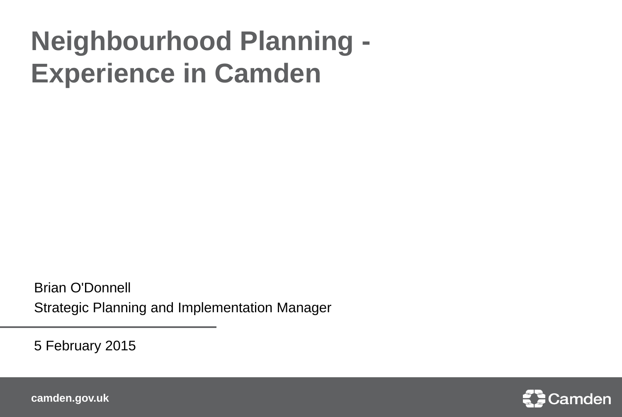### **Neighbourhood Planning - Experience in Camden**

Brian O'Donnell Strategic Planning and Implementation Manager

5 February 2015

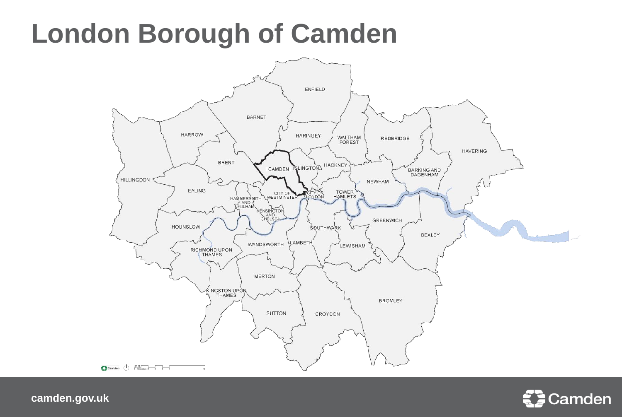#### **London Borough of Camden**



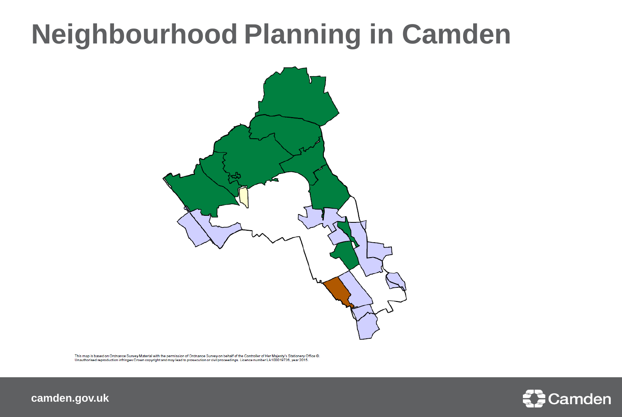### **Neighbourhood Planning in Camden**



This map is based on Ordnance Survey Material with the permission of Ordnance Survey on behalf of the Controller of Her Majesty's Stationery Office @. Unauthorised reproduction infringes Crown copyright and may lead to prosecution or civil proceedings. Licence number LA100019726, year 2015.

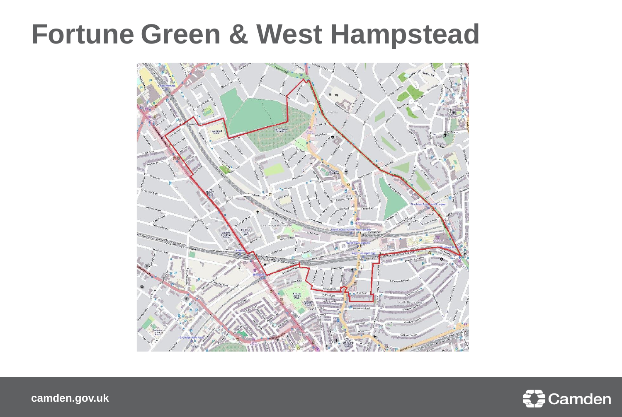#### **Fortune Green & West Hampstead**



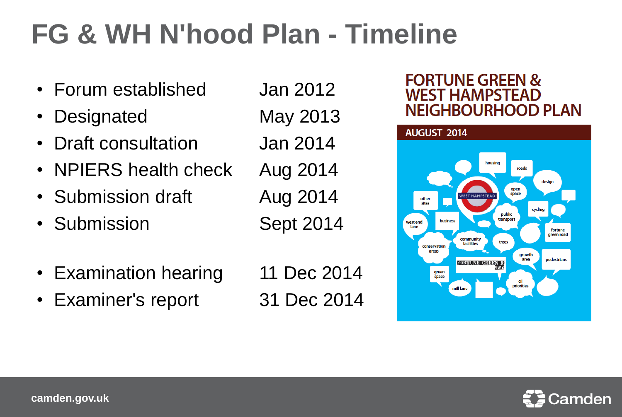# **FG & WH N'hood Plan - Timeline**

- Forum established Jan 2012
- Designated May 2013
- Draft consultation Jan 2014
- NPIERS health check Aug 2014
- Submission draft Aug 2014
- Submission Sept 2014
- 
- Examination hearing 11 Dec 2014
- Examiner's report 31 Dec 2014
- 

#### **FORTUNE GREEN & WEST HAMPSTEAD NEIGHBOURHOOD PLAN**



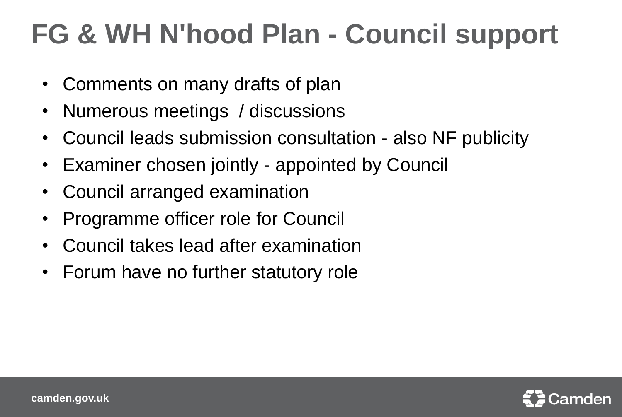## **FG & WH N'hood Plan - Council support**

- Comments on many drafts of plan
- Numerous meetings / discussions
- Council leads submission consultation also NF publicity
- Examiner chosen jointly appointed by Council
- Council arranged examination
- Programme officer role for Council
- Council takes lead after examination
- Forum have no further statutory role

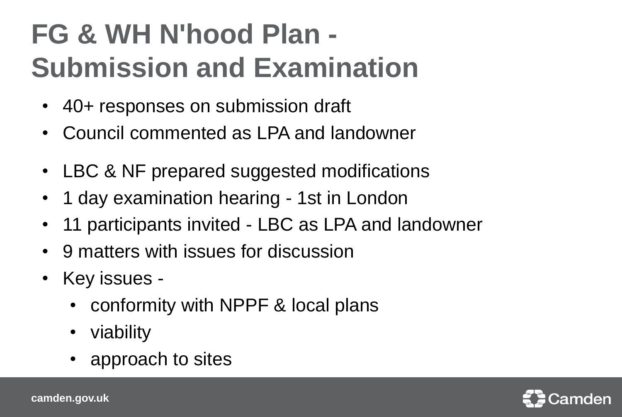# **FG & WH N'hood Plan - Submission and Examination**

- 40+ responses on submission draft
- Council commented as LPA and landowner
- LBC & NF prepared suggested modifications
- 1 day examination hearing 1st in London
- 11 participants invited LBC as LPA and landowner
- 9 matters with issues for discussion
- Key issues
	- conformity with NPPF & local plans
	- viability
	- approach to sites

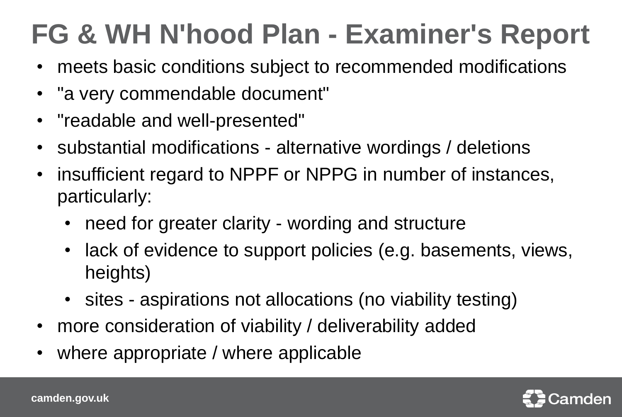# **FG & WH N'hood Plan - Examiner's Report**

- meets basic conditions subject to recommended modifications
- "a very commendable document"
- "readable and well-presented"
- substantial modifications alternative wordings / deletions
- insufficient regard to NPPF or NPPG in number of instances, particularly:
	- need for greater clarity wording and structure
	- lack of evidence to support policies (e.g. basements, views, heights)
	- sites aspirations not allocations (no viability testing)
- more consideration of viability / deliverability added
- where appropriate / where applicable

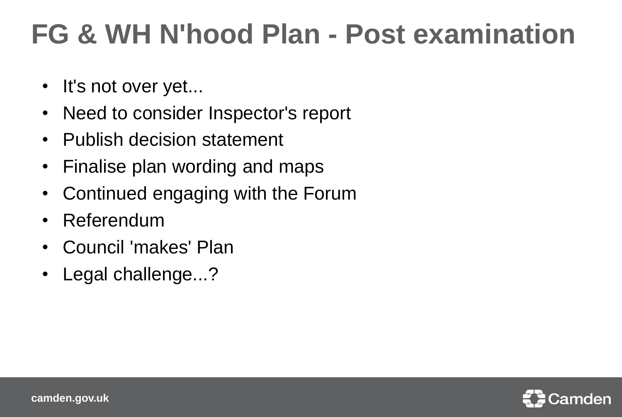## **FG & WH N'hood Plan - Post examination**

- It's not over yet...
- Need to consider Inspector's report
- Publish decision statement
- Finalise plan wording and maps
- Continued engaging with the Forum
- Referendum
- Council 'makes' Plan
- Legal challenge...?